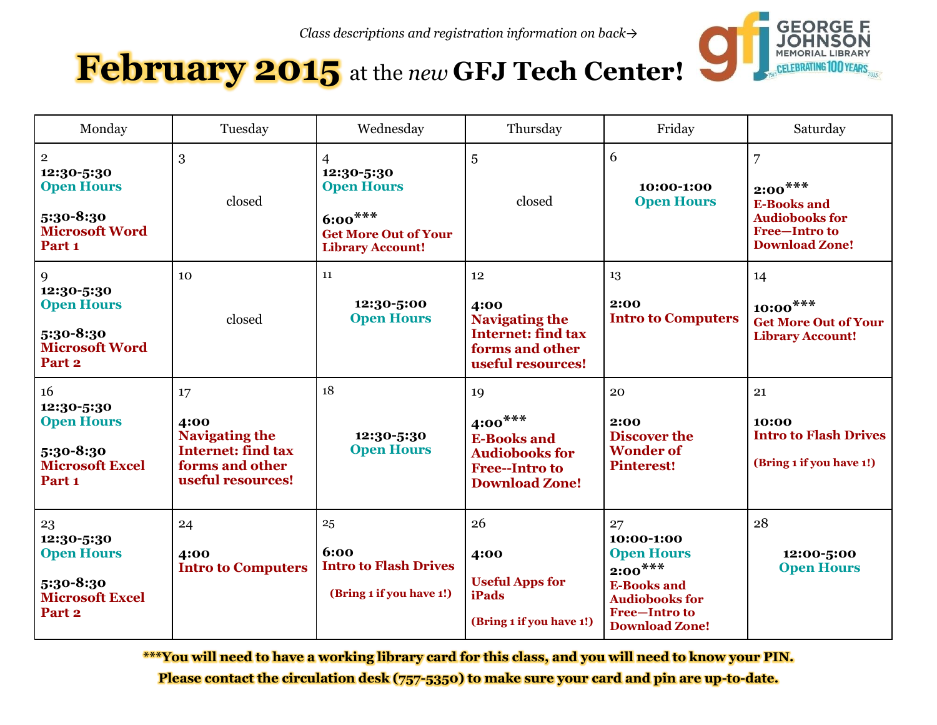

# **February 2015** at the *new* **GFJ Tech Center!**

| Monday                                                                                                    | Tuesday                                                                                                  | Wednesday                                                                                                   | Thursday                                                                                                         | Friday                                                                                                                                      | Saturday                                                                                                                       |
|-----------------------------------------------------------------------------------------------------------|----------------------------------------------------------------------------------------------------------|-------------------------------------------------------------------------------------------------------------|------------------------------------------------------------------------------------------------------------------|---------------------------------------------------------------------------------------------------------------------------------------------|--------------------------------------------------------------------------------------------------------------------------------|
| $\mathbf 2$<br>12:30-5:30<br><b>Open Hours</b><br>5:30-8:30<br><b>Microsoft Word</b><br>Part <sub>1</sub> | 3<br>closed                                                                                              | 4<br>12:30-5:30<br><b>Open Hours</b><br>$6:00***$<br><b>Get More Out of Your</b><br><b>Library Account!</b> | 5<br>closed                                                                                                      | 6<br>10:00-1:00<br><b>Open Hours</b>                                                                                                        | $\overline{7}$<br>$2:00^{***}$<br><b>E-Books and</b><br><b>Audiobooks for</b><br><b>Free-Intro to</b><br><b>Download Zone!</b> |
| 9<br>12:30-5:30<br><b>Open Hours</b><br>5:30-8:30<br><b>Microsoft Word</b><br>Part <sub>2</sub>           | 10<br>closed                                                                                             | 11<br>12:30-5:00<br><b>Open Hours</b>                                                                       | 12<br>4:00<br><b>Navigating the</b><br><b>Internet: find tax</b><br>forms and other<br>useful resources!         | 13<br>2:00<br><b>Intro to Computers</b>                                                                                                     | 14<br>$10:00***$<br><b>Get More Out of Your</b><br><b>Library Account!</b>                                                     |
| 16<br>12:30-5:30<br><b>Open Hours</b><br>5:30-8:30<br><b>Microsoft Excel</b><br>Part <sub>1</sub>         | 17<br>4:00<br><b>Navigating the</b><br><b>Internet: find tax</b><br>forms and other<br>useful resources! | 18<br>12:30-5:30<br><b>Open Hours</b>                                                                       | 19<br>$4:00***$<br><b>E-Books and</b><br><b>Audiobooks for</b><br><b>Free--Intro to</b><br><b>Download Zone!</b> | 20<br>2:00<br><b>Discover the</b><br><b>Wonder of</b><br><b>Pinterest!</b>                                                                  | 21<br>10:00<br><b>Intro to Flash Drives</b><br>(Bring 1 if you have 1!)                                                        |
| 23<br>12:30-5:30<br><b>Open Hours</b><br>5:30-8:30<br><b>Microsoft Excel</b><br>Part <sub>2</sub>         | 24<br>4:00<br><b>Intro to Computers</b>                                                                  | 25<br>6:00<br><b>Intro to Flash Drives</b><br>(Bring 1 if you have 1!)                                      | 26<br>4:00<br><b>Useful Apps for</b><br><b>iPads</b><br>(Bring 1 if you have 1!)                                 | 27<br>10:00-1:00<br><b>Open Hours</b><br>$2:00***$<br><b>E-Books and</b><br><b>Audiobooks for</b><br>Free-Intro to<br><b>Download Zone!</b> | 28<br>12:00-5:00<br><b>Open Hours</b>                                                                                          |

**\*\*\*You will need to have a working library card for this class, and you will need to know your PIN. Please contact the circulation desk (757-5350) to make sure your card and pin are up-to-date.**